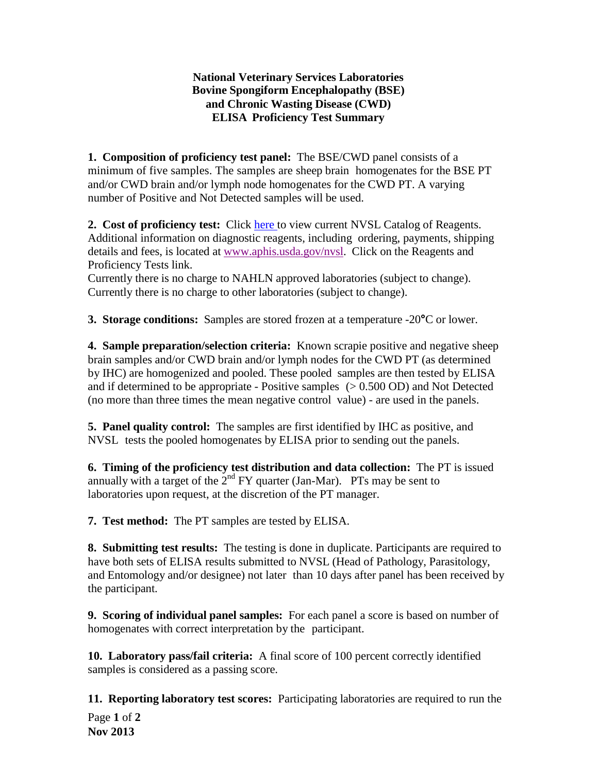## **National Veterinary Services Laboratories Bovine Spongiform Encephalopathy (BSE) and Chronic Wasting Disease (CWD) ELISA Proficiency Test Summary**

**1. Composition of proficiency test panel:** The BSE/CWD panel consists of a minimum of five samples. The samples are sheep brain homogenates for the BSE PT and/or CWD brain and/or lymph node homogenates for the CWD PT. A varying number of Positive and Not Detected samples will be used.

**2. Cost of proficiency test:** Click [here](http://www.aphis.usda.gov/animal_health/lab_info_services/downloads/AmesReagentManualCurrent.pdf) to view current NVSL Catalog of Reagents. Additional information on diagnostic reagents, including ordering, payments, shipping details and fees, is located at [www.aphis.usda.gov/nvsl.](http://www.aphis.usda.gov/nvsl) Click on the Reagents and Proficiency Tests link.

Currently there is no charge to NAHLN approved laboratories (subject to change). Currently there is no charge to other laboratories (subject to change).

**3. Storage conditions:** Samples are stored frozen at a temperature -20**°**C or lower.

**4. Sample preparation/selection criteria:** Known scrapie positive and negative sheep brain samples and/or CWD brain and/or lymph nodes for the CWD PT (as determined by IHC) are homogenized and pooled. These pooled samples are then tested by ELISA and if determined to be appropriate - Positive samples  $(> 0.500$  OD) and Not Detected (no more than three times the mean negative control value) - are used in the panels.

**5. Panel quality control:** The samples are first identified by IHC as positive, and NVSL tests the pooled homogenates by ELISA prior to sending out the panels.

**6. Timing of the proficiency test distribution and data collection:** The PT is issued annually with a target of the  $2<sup>nd</sup> FY$  quarter (Jan-Mar). PTs may be sent to laboratories upon request, at the discretion of the PT manager.

**7. Test method:** The PT samples are tested by ELISA.

**8. Submitting test results:** The testing is done in duplicate. Participants are required to have both sets of ELISA results submitted to NVSL (Head of Pathology, Parasitology, and Entomology and/or designee) not later than 10 days after panel has been received by the participant.

**9. Scoring of individual panel samples:** For each panel a score is based on number of homogenates with correct interpretation by the participant.

**10. Laboratory pass/fail criteria:** A final score of 100 percent correctly identified samples is considered as a passing score.

Page **1** of **2 Nov 2013 11. Reporting laboratory test scores:** Participating laboratories are required to run the